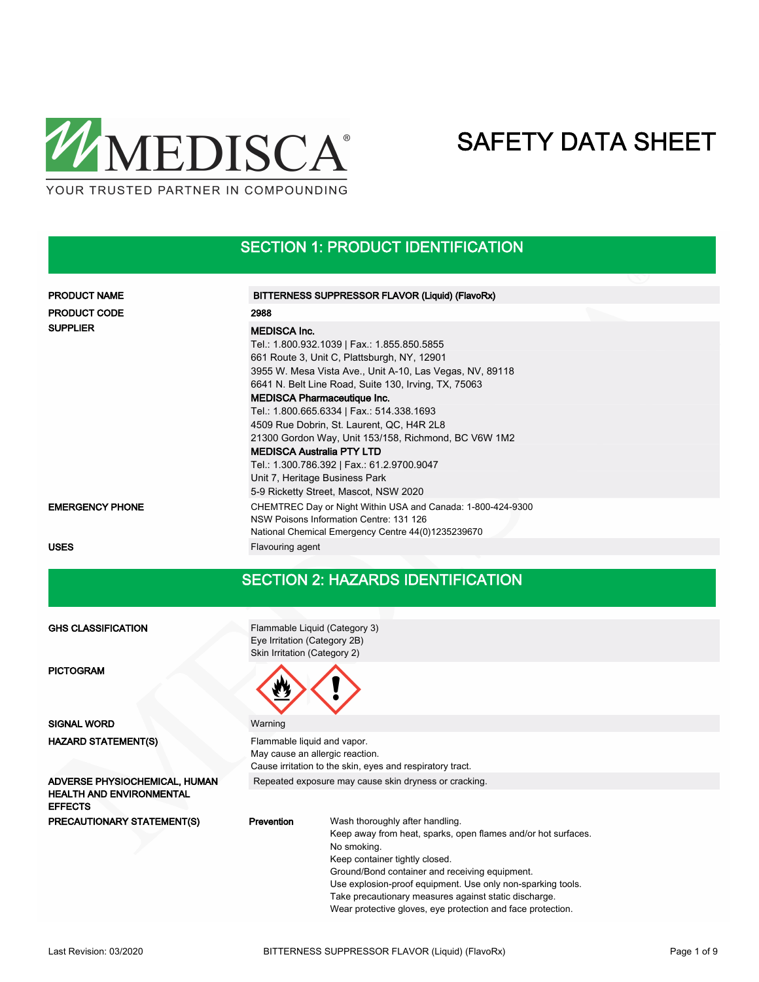

### SECTION 1: PRODUCT IDENTIFICATION

| <b>PRODUCT NAME</b>    | BITTERNESS SUPPRESSOR FLAVOR (Liquid) (FlavoRx)                                                                                                                                                                                                                                                                                                                                                                                                                                                                                                                                            |  |
|------------------------|--------------------------------------------------------------------------------------------------------------------------------------------------------------------------------------------------------------------------------------------------------------------------------------------------------------------------------------------------------------------------------------------------------------------------------------------------------------------------------------------------------------------------------------------------------------------------------------------|--|
| <b>PRODUCT CODE</b>    | 2988                                                                                                                                                                                                                                                                                                                                                                                                                                                                                                                                                                                       |  |
| <b>SUPPLIER</b>        | <b>MEDISCA Inc.</b><br>Tel.: 1.800.932.1039   Fax.: 1.855.850.5855<br>661 Route 3, Unit C, Plattsburgh, NY, 12901<br>3955 W. Mesa Vista Ave., Unit A-10, Las Vegas, NV, 89118<br>6641 N. Belt Line Road, Suite 130, Irving, TX, 75063<br><b>MEDISCA Pharmaceutique Inc.</b><br>Tel.: 1.800.665.6334   Fax.: 514.338.1693<br>4509 Rue Dobrin, St. Laurent, QC, H4R 2L8<br>21300 Gordon Way, Unit 153/158, Richmond, BC V6W 1M2<br><b>MEDISCA Australia PTY LTD</b><br>Tel.: 1.300.786.392   Fax.: 61.2.9700.9047<br>Unit 7, Heritage Business Park<br>5-9 Ricketty Street, Mascot, NSW 2020 |  |
| <b>EMERGENCY PHONE</b> | CHEMTREC Day or Night Within USA and Canada: 1-800-424-9300<br>NSW Poisons Information Centre: 131 126<br>National Chemical Emergency Centre 44(0)1235239670                                                                                                                                                                                                                                                                                                                                                                                                                               |  |
| <b>USES</b>            | Flavouring agent                                                                                                                                                                                                                                                                                                                                                                                                                                                                                                                                                                           |  |

### SECTION 2: HAZARDS IDENTIFICATION

#### Flammable Liquid (Category 3) Eye Irritation (Category 2B) Skin Irritation (Category 2) GHS CLASSIFICATION PICTOGRAM SIGNAL WORD Warning Flammable liquid and vapor. May cause an allergic reaction. Cause irritation to the skin, eyes and respiratory tract. HAZARD STATEMENT(S) ADVERSE PHYSIOCHEMICAL, HUMAN Repeated exposure may cause skin dryness or cracking. HEALTH AND ENVIRONMENTAL EFFECTS Wash thoroughly after handling. Keep away from heat, sparks, open flames and/or hot surfaces. No smoking. Keep container tightly closed. Ground/Bond container and receiving equipment. Use explosion-proof equipment. Use only non-sparking tools. Take precautionary measures against static discharge. PRECAUTIONARY STATEMENT(S) Prevention

Wear protective gloves, eye protection and face protection.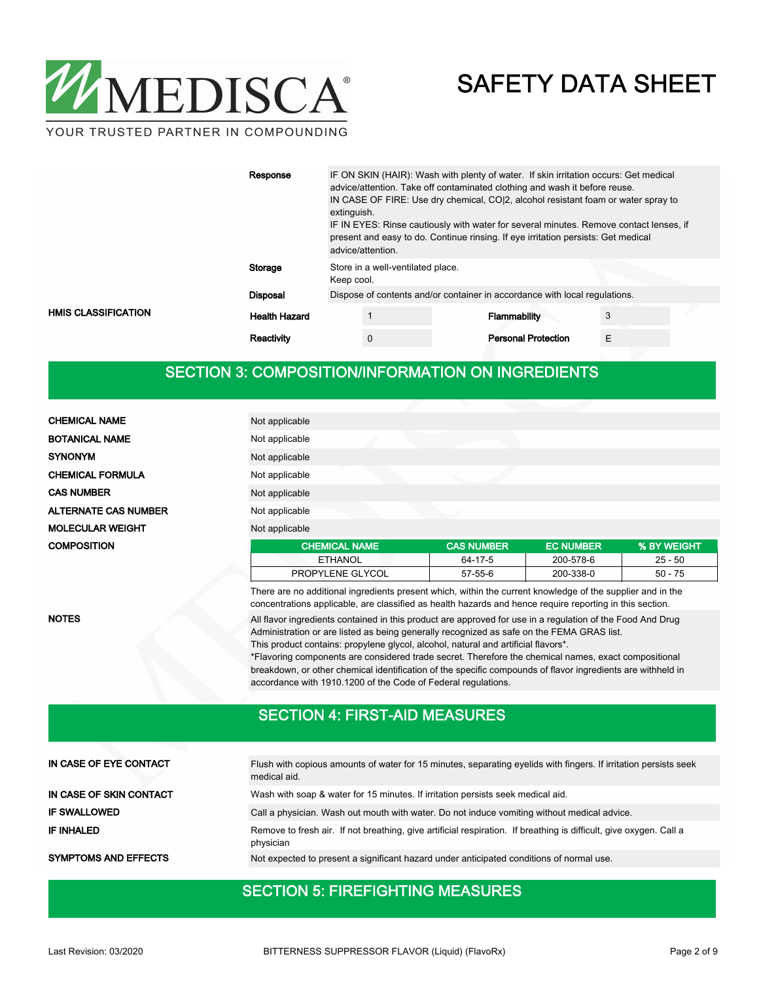

YOUR TRUSTED PARTNER IN COMPOUNDING

|                            | Response             | IF ON SKIN (HAIR): Wash with plenty of water. If skin irritation occurs: Get medical<br>advice/attention. Take off contaminated clothing and wash it before reuse.<br>IN CASE OF FIRE: Use dry chemical, CO(2, alcohol resistant foam or water spray to<br>extinguish.<br>IF IN EYES: Rinse cautiously with water for several minutes. Remove contact lenses, if<br>present and easy to do. Continue rinsing. If eye irritation persists: Get medical<br>advice/attention. |                                   |  |                            |  |   |  |
|----------------------------|----------------------|----------------------------------------------------------------------------------------------------------------------------------------------------------------------------------------------------------------------------------------------------------------------------------------------------------------------------------------------------------------------------------------------------------------------------------------------------------------------------|-----------------------------------|--|----------------------------|--|---|--|
|                            | Storage              | Keep cool.                                                                                                                                                                                                                                                                                                                                                                                                                                                                 | Store in a well-ventilated place. |  |                            |  |   |  |
|                            | <b>Disposal</b>      | Dispose of contents and/or container in accordance with local regulations.                                                                                                                                                                                                                                                                                                                                                                                                 |                                   |  |                            |  |   |  |
| <b>HMIS CLASSIFICATION</b> | <b>Health Hazard</b> |                                                                                                                                                                                                                                                                                                                                                                                                                                                                            |                                   |  | Flammability               |  |   |  |
|                            | Reactivity           |                                                                                                                                                                                                                                                                                                                                                                                                                                                                            | $\mathbf{0}$                      |  | <b>Personal Protection</b> |  | E |  |

### SECTION 3: COMPOSITION/INFORMATION ON INGREDIENTS

| <b>CHEMICAL NAME</b>        | Not applicable                                                                                                                                                                                                         |                   |                  |             |
|-----------------------------|------------------------------------------------------------------------------------------------------------------------------------------------------------------------------------------------------------------------|-------------------|------------------|-------------|
| <b>BOTANICAL NAME</b>       | Not applicable                                                                                                                                                                                                         |                   |                  |             |
| <b>SYNONYM</b>              | Not applicable                                                                                                                                                                                                         |                   |                  |             |
| <b>CHEMICAL FORMULA</b>     | Not applicable                                                                                                                                                                                                         |                   |                  |             |
| <b>CAS NUMBER</b>           | Not applicable                                                                                                                                                                                                         |                   |                  |             |
| <b>ALTERNATE CAS NUMBER</b> | Not applicable                                                                                                                                                                                                         |                   |                  |             |
| <b>MOLECULAR WEIGHT</b>     | Not applicable                                                                                                                                                                                                         |                   |                  |             |
| <b>COMPOSITION</b>          | <b>CHEMICAL NAME</b>                                                                                                                                                                                                   | <b>CAS NUMBER</b> | <b>EC NUMBER</b> | % BY WEIGHT |
|                             | <b>ETHANOL</b>                                                                                                                                                                                                         | 64-17-5           | 200-578-6        | $25 - 50$   |
|                             | PROPYLENE GLYCOL                                                                                                                                                                                                       | 57-55-6           | 200-338-0        | $50 - 75$   |
|                             | There are no additional ingredients present which, within the current knowledge of the supplier and in the<br>concentrations applicable, are classified as health hazards and hence require reporting in this section. |                   |                  |             |

NOTES

All flavor ingredients contained in this product are approved for use in a regulation of the Food And Drug Administration or are listed as being generally recognized as safe on the FEMA GRAS list. This product contains: propylene glycol, alcohol, natural and artificial flavors\*.

\*Flavoring components are considered trade secret. Therefore the chemical names, exact compositional breakdown, or other chemical identification of the specific compounds of flavor ingredients are withheld in accordance with 1910.1200 of the Code of Federal regulations.

#### SECTION 4: FIRST-AID MEASURES

| IN CASE OF EYE CONTACT      | Flush with copious amounts of water for 15 minutes, separating evelids with fingers. If irritation persists seek<br>medical aid. |
|-----------------------------|----------------------------------------------------------------------------------------------------------------------------------|
| IN CASE OF SKIN CONTACT     | Wash with soap & water for 15 minutes. If irritation persists seek medical aid.                                                  |
| <b>IF SWALLOWED</b>         | Call a physician. Wash out mouth with water. Do not induce vomiting without medical advice.                                      |
| <b>IF INHALED</b>           | Remove to fresh air. If not breathing, give artificial respiration. If breathing is difficult, give oxygen. Call a<br>physician  |
| <b>SYMPTOMS AND EFFECTS</b> | Not expected to present a significant hazard under anticipated conditions of normal use.                                         |

### SECTION 5: FIREFIGHTING MEASURES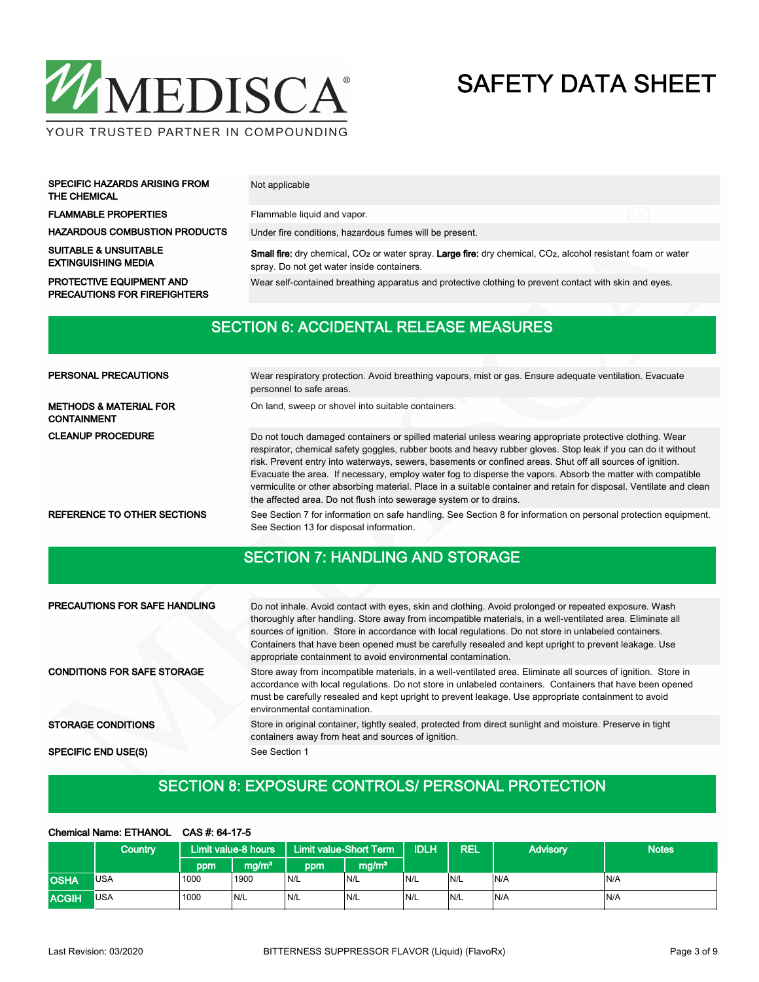

| <b>SPECIFIC HAZARDS ARISING FROM</b><br>THE CHEMICAL | Not applicable                                          |
|------------------------------------------------------|---------------------------------------------------------|
| <b>FLAMMABLE PROPERTIES</b>                          | Flammable liquid and vapor.                             |
| <b>HAZARDOUS COMBUSTION PRODUCTS</b>                 | Under fire conditions, hazardous fumes will be present. |

SUITABLE & UNSUITABLE EXTINGUISHING MEDIA

PRECAUTIONS FOR FIREFIGHTERS

Small fire: dry chemical, CO2 or water spray. Large fire: dry chemical, CO2, alcohol resistant foam or water spray. Do not get water inside containers. PROTECTIVE EQUIPMENT AND Wear self-contained breathing apparatus and protective clothing to prevent contact with skin and eyes.

#### SECTION 6: ACCIDENTAL RELEASE MEASURES

| PERSONAL PRECAUTIONS                                    | Wear respiratory protection. Avoid breathing vapours, mist or gas. Ensure adequate ventilation. Evacuate<br>personnel to safe areas.                                                                                                                                                                                                                                                                                                                                                                                                                                                                                                                |  |  |  |  |  |  |
|---------------------------------------------------------|-----------------------------------------------------------------------------------------------------------------------------------------------------------------------------------------------------------------------------------------------------------------------------------------------------------------------------------------------------------------------------------------------------------------------------------------------------------------------------------------------------------------------------------------------------------------------------------------------------------------------------------------------------|--|--|--|--|--|--|
| <b>METHODS &amp; MATERIAL FOR</b><br><b>CONTAINMENT</b> | On land, sweep or shovel into suitable containers.                                                                                                                                                                                                                                                                                                                                                                                                                                                                                                                                                                                                  |  |  |  |  |  |  |
| <b>CLEANUP PROCEDURE</b>                                | Do not touch damaged containers or spilled material unless wearing appropriate protective clothing. Wear<br>respirator, chemical safety goggles, rubber boots and heavy rubber gloves. Stop leak if you can do it without<br>risk. Prevent entry into waterways, sewers, basements or confined areas. Shut off all sources of ignition.<br>Evacuate the area. If necessary, employ water fog to disperse the vapors. Absorb the matter with compatible<br>vermiculite or other absorbing material. Place in a suitable container and retain for disposal. Ventilate and clean<br>the affected area. Do not flush into sewerage system or to drains. |  |  |  |  |  |  |
| REFERENCE TO OTHER SECTIONS                             | See Section 7 for information on safe handling. See Section 8 for information on personal protection equipment.<br>See Section 13 for disposal information.                                                                                                                                                                                                                                                                                                                                                                                                                                                                                         |  |  |  |  |  |  |

## SECTION 7: HANDLING AND STORAGE

| <b>PRECAUTIONS FOR SAFE HANDLING</b> | Do not inhale. Avoid contact with eyes, skin and clothing. Avoid prolonged or repeated exposure. Wash<br>thoroughly after handling. Store away from incompatible materials, in a well-ventilated area. Eliminate all<br>sources of ignition. Store in accordance with local regulations. Do not store in unlabeled containers.<br>Containers that have been opened must be carefully resealed and kept upright to prevent leakage. Use<br>appropriate containment to avoid environmental contamination. |
|--------------------------------------|---------------------------------------------------------------------------------------------------------------------------------------------------------------------------------------------------------------------------------------------------------------------------------------------------------------------------------------------------------------------------------------------------------------------------------------------------------------------------------------------------------|
| <b>CONDITIONS FOR SAFE STORAGE</b>   | Store away from incompatible materials, in a well-ventilated area. Eliminate all sources of ignition. Store in<br>accordance with local regulations. Do not store in unlabeled containers. Containers that have been opened<br>must be carefully resealed and kept upright to prevent leakage. Use appropriate containment to avoid<br>environmental contamination.                                                                                                                                     |
| <b>STORAGE CONDITIONS</b>            | Store in original container, tightly sealed, protected from direct sunlight and moisture. Preserve in tight<br>containers away from heat and sources of ignition.                                                                                                                                                                                                                                                                                                                                       |
| <b>SPECIFIC END USE(S)</b>           | See Section 1                                                                                                                                                                                                                                                                                                                                                                                                                                                                                           |

### SECTION 8: EXPOSURE CONTROLS/ PERSONAL PROTECTION

#### Chemical Name: ETHANOL CAS #: 64-17-5

|              | Country    | Limit value-8 hours |                   | <b>Limit value-Short Term</b> |                   | <b>IDLH</b> | REL | <b>Advisory</b> | <b>Notes</b> |
|--------------|------------|---------------------|-------------------|-------------------------------|-------------------|-------------|-----|-----------------|--------------|
|              |            | ppml                | mg/m <sup>3</sup> | ppm                           | mg/m <sup>3</sup> |             |     |                 |              |
| <b>OSHA</b>  | <b>USA</b> | 1000                | 1900              | N/L                           | N/L               | N/L         | N/L | N/A             | N/A          |
| <b>ACGIH</b> | <b>USA</b> | 1000                | N/L               | 'N/L                          | N/L               | IN/L        | N/L | N/A             | IN/A         |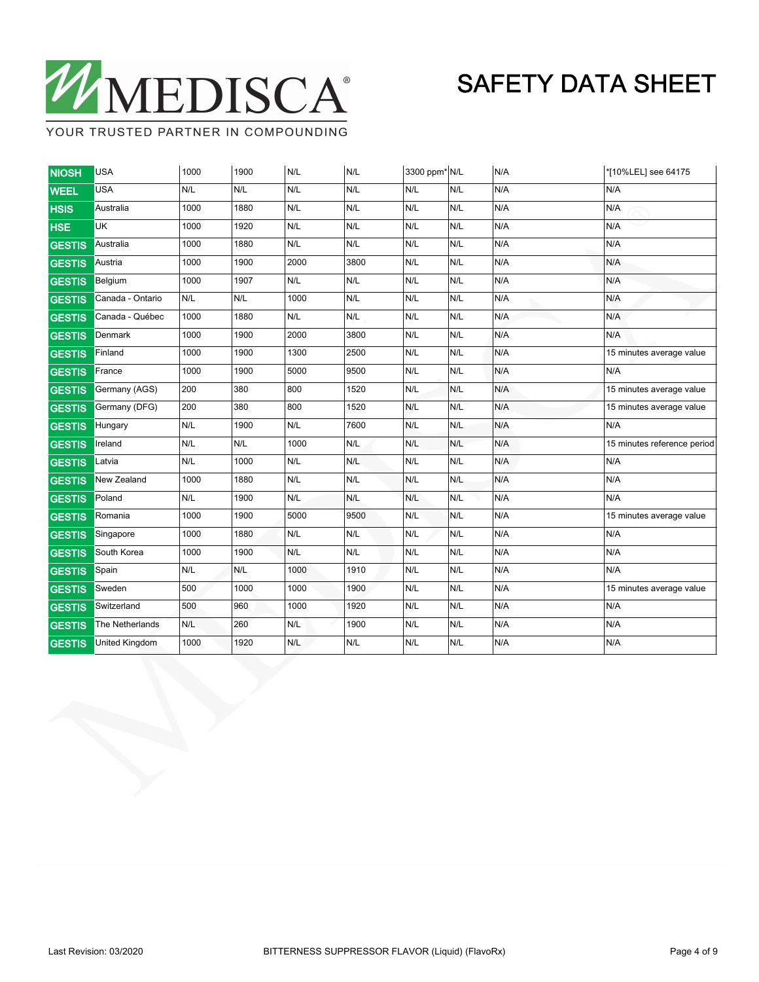

YOUR TRUSTED PARTNER IN COMPOUNDING

| <b>NIOSH</b>  | <b>USA</b>            | 1000 | 1900 | N/L                     | N/L  | 3300 ppm* N/L |     | N/A | *[10%LEL] see 64175         |
|---------------|-----------------------|------|------|-------------------------|------|---------------|-----|-----|-----------------------------|
| <b>WEEL</b>   | <b>USA</b>            | N/L  | N/L  | N/L                     | N/L  | N/L           | N/L | N/A | N/A                         |
| <b>HSIS</b>   | Australia             | 1000 | 1880 | N/L                     | N/L  | N/L           | N/L | N/A | N/A                         |
| <b>HSE</b>    | UK                    | 1000 | 1920 | N/L                     | N/L  | N/L           | N/L | N/A | N/A                         |
| <b>GESTIS</b> | Australia             | 1000 | 1880 | N/L                     | N/L  | N/L           | N/L | N/A | N/A                         |
| <b>GESTIS</b> | Austria               | 1000 | 1900 | 2000                    | 3800 | N/L           | N/L | N/A | N/A                         |
| <b>GESTIS</b> | Belgium               | 1000 | 1907 | N/L                     | N/L  | N/L           | N/L | N/A | N/A                         |
| <b>GESTIS</b> | Canada - Ontario      | N/L  | N/L  | 1000                    | N/L  | N/L           | N/L | N/A | N/A                         |
| <b>GESTIS</b> | Canada - Québec       | 1000 | 1880 | N/L                     | N/L  | N/L           | N/L | N/A | N/A                         |
| <b>GESTIS</b> | Denmark               | 1000 | 1900 | 2000                    | 3800 | N/L           | N/L | N/A | N/A                         |
| <b>GESTIS</b> | Finland               | 1000 | 1900 | 1300                    | 2500 | N/L           | N/L | N/A | 15 minutes average value    |
| <b>GESTIS</b> | France                | 1000 | 1900 | 5000                    | 9500 | N/L           | N/L | N/A | N/A                         |
| <b>GESTIS</b> | Germany (AGS)         | 200  | 380  | 800                     | 1520 | N/L           | N/L | N/A | 15 minutes average value    |
| <b>GESTIS</b> | Germany (DFG)         | 200  | 380  | 800                     | 1520 | N/L           | N/L | N/A | 15 minutes average value    |
| <b>GESTIS</b> | Hungary               | N/L  | 1900 | N/L                     | 7600 | N/L           | N/L | N/A | N/A                         |
| GESTIS        | Ireland               | N/L  | N/L  | 1000                    | N/L  | N/L           | N/L | N/A | 15 minutes reference period |
| <b>GESTIS</b> | Latvia                | N/L  | 1000 | N/L                     | N/L  | N/L           | N/L | N/A | N/A                         |
| <b>GESTIS</b> | New Zealand           | 1000 | 1880 | N/L                     | N/L  | N/L           | N/L | N/A | N/A                         |
| <b>GESTIS</b> | Poland                | N/L  | 1900 | N/L                     | N/L  | N/L           | N/L | N/A | N/A                         |
| <b>GESTIS</b> | Romania               | 1000 | 1900 | 5000                    | 9500 | N/L           | N/L | N/A | 15 minutes average value    |
| <b>GESTIS</b> | Singapore             | 1000 | 1880 | N/L                     | N/L  | N/L           | N/L | N/A | N/A                         |
| <b>GESTIS</b> | South Korea           | 1000 | 1900 | N/L                     | N/L  | N/L           | N/L | N/A | N/A                         |
| <b>GESTIS</b> | Spain                 | N/L  | N/L  | 1000                    | 1910 | N/L           | N/L | N/A | N/A                         |
| <b>GESTIS</b> | Sweden                | 500  | 1000 | 1000                    | 1900 | N/L           | N/L | N/A | 15 minutes average value    |
| <b>GESTIS</b> | Switzerland           | 500  | 960  | 1000                    | 1920 | N/L           | N/L | N/A | N/A                         |
| <b>GESTIS</b> | The Netherlands       | N/L  | 260  | $\mathsf{N}/\mathsf{L}$ | 1900 | N/L           | N/L | N/A | N/A                         |
| <b>GESTIS</b> | <b>United Kingdom</b> | 1000 | 1920 | N/L                     | N/L  | N/L           | N/L | N/A | N/A                         |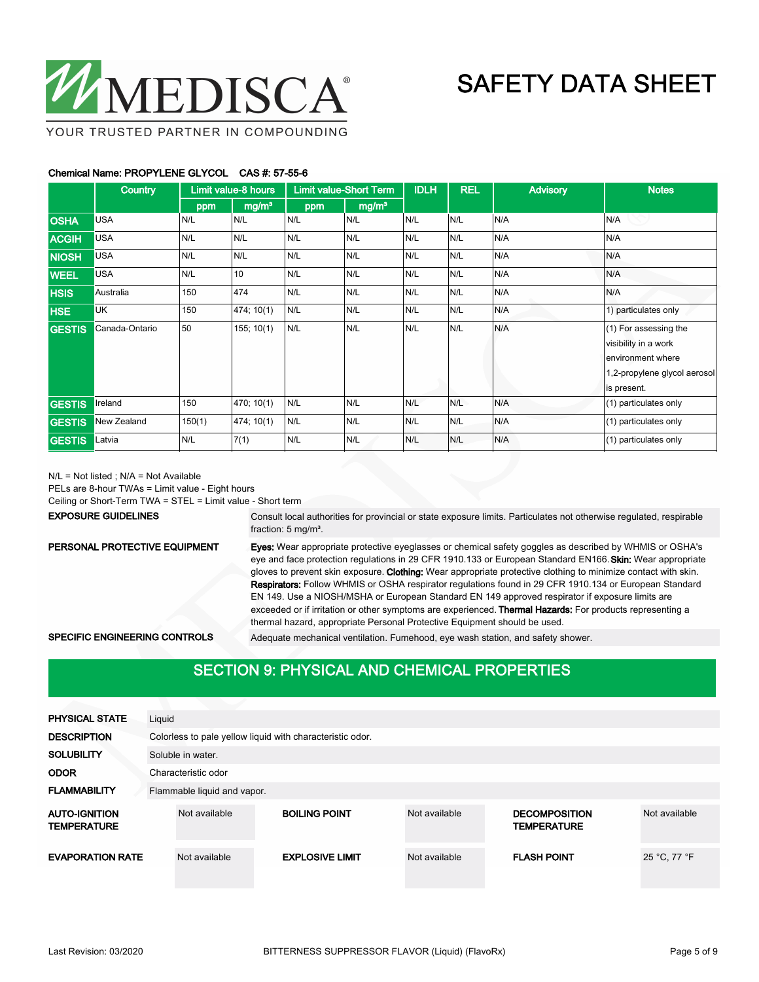

YOUR TRUSTED PARTNER IN COMPOUNDING

#### Chemical Name: PROPYLENE GLYCOL CAS #: 57-55-6

|               | Country        | Limit value-8 hours |                   | <b>Limit value-Short Term</b> |                   | <b>IDLH</b> | <b>REL</b> | <b>Advisory</b> | <b>Notes</b>                                                                                                      |
|---------------|----------------|---------------------|-------------------|-------------------------------|-------------------|-------------|------------|-----------------|-------------------------------------------------------------------------------------------------------------------|
|               |                | ppm                 | mg/m <sup>3</sup> | ppm                           | mg/m <sup>3</sup> |             |            |                 |                                                                                                                   |
| <b>OSHA</b>   | <b>USA</b>     | N/L                 | N/L               | N/L                           | N/L               | N/L         | N/L        | N/A             | N/A                                                                                                               |
| <b>ACGIH</b>  | <b>USA</b>     | N/L                 | N/L               | N/L                           | N/L               | N/L         | N/L        | N/A             | N/A                                                                                                               |
| <b>NIOSH</b>  | <b>USA</b>     | N/L                 | N/L               | N/L                           | N/L               | N/L         | N/L        | N/A             | N/A                                                                                                               |
| <b>WEEL</b>   | <b>USA</b>     | N/L                 | 10                | N/L                           | N/L               | N/L         | N/L        | N/A             | N/A                                                                                                               |
| <b>HSIS</b>   | Australia      | 150                 | 474               | N/L                           | N/L               | N/L         | N/L        | N/A             | N/A                                                                                                               |
| <b>HSE</b>    | <b>UK</b>      | 150                 | 474; 10(1)        | N/L                           | N/L               | N/L         | N/L        | N/A             | 1) particulates only                                                                                              |
| <b>GESTIS</b> | Canada-Ontario | 50                  | 155; 10(1)        | N/L                           | N/L               | N/L         | N/L        | N/A             | (1) For assessing the<br>visibility in a work<br>environment where<br>1,2-propylene glycol aerosol<br>is present. |
| <b>GESTIS</b> | Ireland        | 150                 | 470; 10(1)        | N/L                           | N/L               | N/L         | N/L        | N/A             | (1) particulates only                                                                                             |
| <b>GESTIS</b> | New Zealand    | 150(1)              | 474; 10(1)        | N/L                           | N/L               | N/L         | N/L        | N/A             | (1) particulates only                                                                                             |
| <b>GESTIS</b> | Latvia         | N/L                 | 7(1)              | N/L                           | N/L               | N/L         | N/L        | N/A             | (1) particulates only                                                                                             |

N/L = Not listed ; N/A = Not Available

PELs are 8-hour TWAs = Limit value - Eight hours

Ceiling or Short-Term TWA = STEL = Limit value - Short term

#### EXPOSURE GUIDELINES

Consult local authorities for provincial or state exposure limits. Particulates not otherwise regulated, respirable fraction: 5 mg/m<sup>3</sup>.

#### PERSONAL PROTECTIVE EQUIPMENT

Eyes: Wear appropriate protective eyeglasses or chemical safety goggles as described by WHMIS or OSHA's eye and face protection regulations in 29 CFR 1910.133 or European Standard EN166. Skin: Wear appropriate gloves to prevent skin exposure. Clothing: Wear appropriate protective clothing to minimize contact with skin. Respirators: Follow WHMIS or OSHA respirator regulations found in 29 CFR 1910.134 or European Standard EN 149. Use a NIOSH/MSHA or European Standard EN 149 approved respirator if exposure limits are exceeded or if irritation or other symptoms are experienced. Thermal Hazards: For products representing a thermal hazard, appropriate Personal Protective Equipment should be used.

SPECIFIC ENGINEERING CONTROLS Adequate mechanical ventilation. Fumehood, eye wash station, and safety shower.

### SECTION 9: PHYSICAL AND CHEMICAL PROPERTIES

| <b>PHYSICAL STATE</b>                      | Liquid |                                                           |                        |               |                                            |               |  |  |  |  |
|--------------------------------------------|--------|-----------------------------------------------------------|------------------------|---------------|--------------------------------------------|---------------|--|--|--|--|
| <b>DESCRIPTION</b>                         |        | Colorless to pale yellow liquid with characteristic odor. |                        |               |                                            |               |  |  |  |  |
| <b>SOLUBILITY</b>                          |        | Soluble in water.                                         |                        |               |                                            |               |  |  |  |  |
| <b>ODOR</b>                                |        | Characteristic odor                                       |                        |               |                                            |               |  |  |  |  |
| <b>FLAMMABILITY</b>                        |        | Flammable liquid and vapor.                               |                        |               |                                            |               |  |  |  |  |
| <b>AUTO-IGNITION</b><br><b>TEMPERATURE</b> |        | Not available                                             | <b>BOILING POINT</b>   | Not available | <b>DECOMPOSITION</b><br><b>TEMPERATURE</b> | Not available |  |  |  |  |
| <b>EVAPORATION RATE</b>                    |        | Not available                                             | <b>EXPLOSIVE LIMIT</b> | Not available | <b>FLASH POINT</b>                         | 25 °C, 77 °F  |  |  |  |  |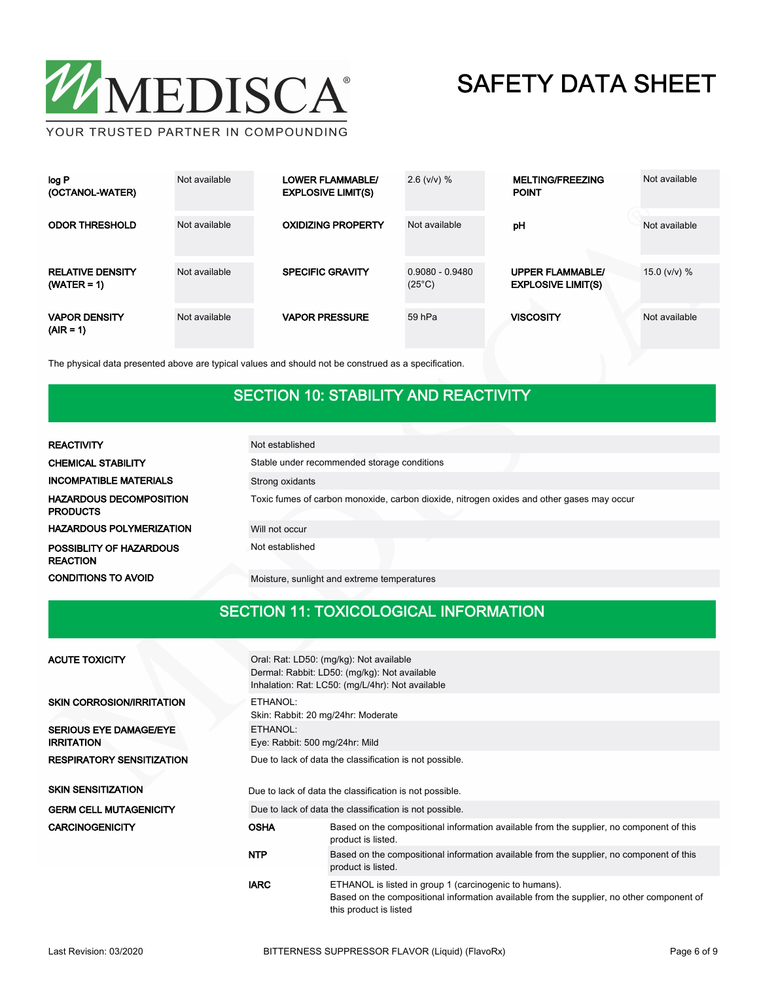

| log P<br>(OCTANOL-WATER)                 | Not available | <b>LOWER FLAMMABLE/</b><br><b>EXPLOSIVE LIMIT(S)</b> | $2.6$ (v/v) $%$                      | <b>MELTING/FREEZING</b><br><b>POINT</b>              | Not available    |
|------------------------------------------|---------------|------------------------------------------------------|--------------------------------------|------------------------------------------------------|------------------|
| <b>ODOR THRESHOLD</b>                    | Not available | <b>OXIDIZING PROPERTY</b>                            | Not available                        | pH                                                   | Not available    |
| <b>RELATIVE DENSITY</b><br>$(WATER = 1)$ | Not available | <b>SPECIFIC GRAVITY</b>                              | $0.9080 - 0.9480$<br>$(25^{\circ}C)$ | <b>UPPER FLAMMABLE/</b><br><b>EXPLOSIVE LIMIT(S)</b> | 15.0 ( $v/v$ ) % |
| <b>VAPOR DENSITY</b><br>$(AIR = 1)$      | Not available | <b>VAPOR PRESSURE</b>                                | 59 hPa                               | <b>VISCOSITY</b>                                     | Not available    |

The physical data presented above are typical values and should not be construed as a specification.

#### SECTION 10: STABILITY AND REACTIVITY

| <b>REACTIVITY</b>                                 | Not established                                                                           |
|---------------------------------------------------|-------------------------------------------------------------------------------------------|
| <b>CHEMICAL STABILITY</b>                         | Stable under recommended storage conditions                                               |
| <b>INCOMPATIBLE MATERIALS</b>                     | Strong oxidants                                                                           |
| <b>HAZARDOUS DECOMPOSITION</b><br><b>PRODUCTS</b> | Toxic fumes of carbon monoxide, carbon dioxide, nitrogen oxides and other gases may occur |
| <b>HAZARDOUS POLYMERIZATION</b>                   | Will not occur                                                                            |
| <b>POSSIBLITY OF HAZARDOUS</b><br><b>REACTION</b> | Not established                                                                           |
| <b>CONDITIONS TO AVOID</b>                        | Moisture, sunlight and extreme temperatures                                               |

### SECTION 11: TOXICOLOGICAL INFORMATION

| <b>ACUTE TOXICITY</b>                              |             | Oral: Rat: LD50: (mg/kg): Not available<br>Dermal: Rabbit: LD50: (mg/kg): Not available<br>Inhalation: Rat: LC50: (mg/L/4hr): Not available                                   |  |  |  |  |  |
|----------------------------------------------------|-------------|-------------------------------------------------------------------------------------------------------------------------------------------------------------------------------|--|--|--|--|--|
| <b>SKIN CORROSION/IRRITATION</b>                   | ETHANOL:    | Skin: Rabbit: 20 mg/24hr: Moderate                                                                                                                                            |  |  |  |  |  |
| <b>SERIOUS EYE DAMAGE/EYE</b><br><b>IRRITATION</b> | ETHANOL:    | Eye: Rabbit: 500 mg/24hr: Mild                                                                                                                                                |  |  |  |  |  |
| <b>RESPIRATORY SENSITIZATION</b>                   |             | Due to lack of data the classification is not possible.                                                                                                                       |  |  |  |  |  |
| <b>SKIN SENSITIZATION</b>                          |             | Due to lack of data the classification is not possible.                                                                                                                       |  |  |  |  |  |
| <b>GERM CELL MUTAGENICITY</b>                      |             | Due to lack of data the classification is not possible.                                                                                                                       |  |  |  |  |  |
| <b>CARCINOGENICITY</b>                             | <b>OSHA</b> | Based on the compositional information available from the supplier, no component of this<br>product is listed.                                                                |  |  |  |  |  |
|                                                    | <b>NTP</b>  | Based on the compositional information available from the supplier, no component of this<br>product is listed.                                                                |  |  |  |  |  |
|                                                    | <b>IARC</b> | ETHANOL is listed in group 1 (carcinogenic to humans).<br>Based on the compositional information available from the supplier, no other component of<br>this product is listed |  |  |  |  |  |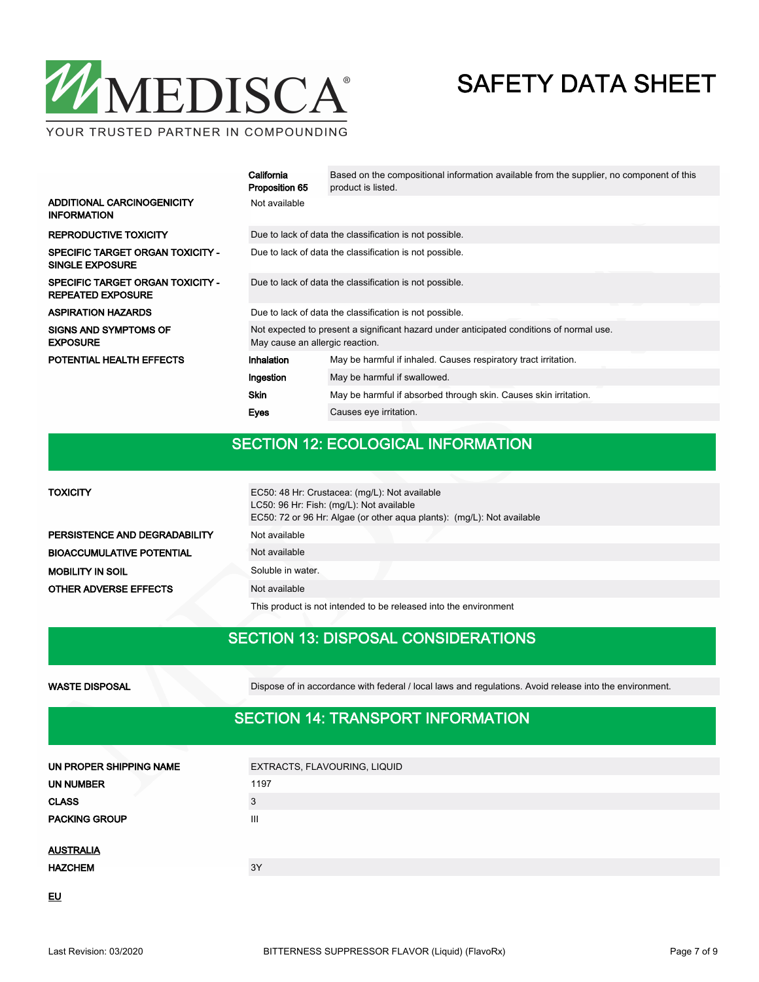

YOUR TRUSTED PARTNER IN COMPOUNDING

|                                                                     | California<br>Proposition 65                                                                                                | Based on the compositional information available from the supplier, no component of this<br>product is listed. |  |  |  |  |
|---------------------------------------------------------------------|-----------------------------------------------------------------------------------------------------------------------------|----------------------------------------------------------------------------------------------------------------|--|--|--|--|
| ADDITIONAL CARCINOGENICITY<br><b>INFORMATION</b>                    | Not available                                                                                                               |                                                                                                                |  |  |  |  |
| <b>REPRODUCTIVE TOXICITY</b>                                        | Due to lack of data the classification is not possible.                                                                     |                                                                                                                |  |  |  |  |
| <b>SPECIFIC TARGET ORGAN TOXICITY -</b><br><b>SINGLE EXPOSURE</b>   | Due to lack of data the classification is not possible.                                                                     |                                                                                                                |  |  |  |  |
| <b>SPECIFIC TARGET ORGAN TOXICITY -</b><br><b>REPEATED EXPOSURE</b> | Due to lack of data the classification is not possible.                                                                     |                                                                                                                |  |  |  |  |
| <b>ASPIRATION HAZARDS</b>                                           | Due to lack of data the classification is not possible.                                                                     |                                                                                                                |  |  |  |  |
| <b>SIGNS AND SYMPTOMS OF</b><br><b>EXPOSURE</b>                     | Not expected to present a significant hazard under anticipated conditions of normal use.<br>May cause an allergic reaction. |                                                                                                                |  |  |  |  |
| POTENTIAL HEALTH EFFECTS                                            | May be harmful if inhaled. Causes respiratory tract irritation.<br>Inhalation                                               |                                                                                                                |  |  |  |  |
|                                                                     | Ingestion                                                                                                                   | May be harmful if swallowed.                                                                                   |  |  |  |  |
|                                                                     | <b>Skin</b>                                                                                                                 | May be harmful if absorbed through skin. Causes skin irritation.                                               |  |  |  |  |
|                                                                     | <b>Eyes</b>                                                                                                                 | Causes eye irritation.                                                                                         |  |  |  |  |

#### SECTION 12: ECOLOGICAL INFORMATION

| <b>TOXICITY</b>                  | EC50: 48 Hr: Crustacea: (mg/L): Not available<br>LC50: 96 Hr: Fish: (mg/L): Not available<br>EC50: 72 or 96 Hr: Algae (or other agua plants): (mg/L): Not available |
|----------------------------------|---------------------------------------------------------------------------------------------------------------------------------------------------------------------|
| PERSISTENCE AND DEGRADABILITY    | Not available                                                                                                                                                       |
| <b>BIOACCUMULATIVE POTENTIAL</b> | Not available                                                                                                                                                       |
| <b>MOBILITY IN SOIL</b>          | Soluble in water.                                                                                                                                                   |
| <b>OTHER ADVERSE EFFECTS</b>     | Not available                                                                                                                                                       |

This product is not intended to be released into the environment

#### SECTION 13: DISPOSAL CONSIDERATIONS

WASTE DISPOSAL Dispose of in accordance with federal / local laws and regulations. Avoid release into the environment.

### SECTION 14: TRANSPORT INFORMATION

| UN PROPER SHIPPING NAME | EXTRACTS, FLAVOURING, LIQUID |  |  |  |  |
|-------------------------|------------------------------|--|--|--|--|
| UN NUMBER               | 1197                         |  |  |  |  |
| <b>CLASS</b>            | 3                            |  |  |  |  |
| <b>PACKING GROUP</b>    | Ш                            |  |  |  |  |
|                         |                              |  |  |  |  |
| <b>AUSTRALIA</b>        |                              |  |  |  |  |
| <b>HAZCHEM</b>          | 3Y                           |  |  |  |  |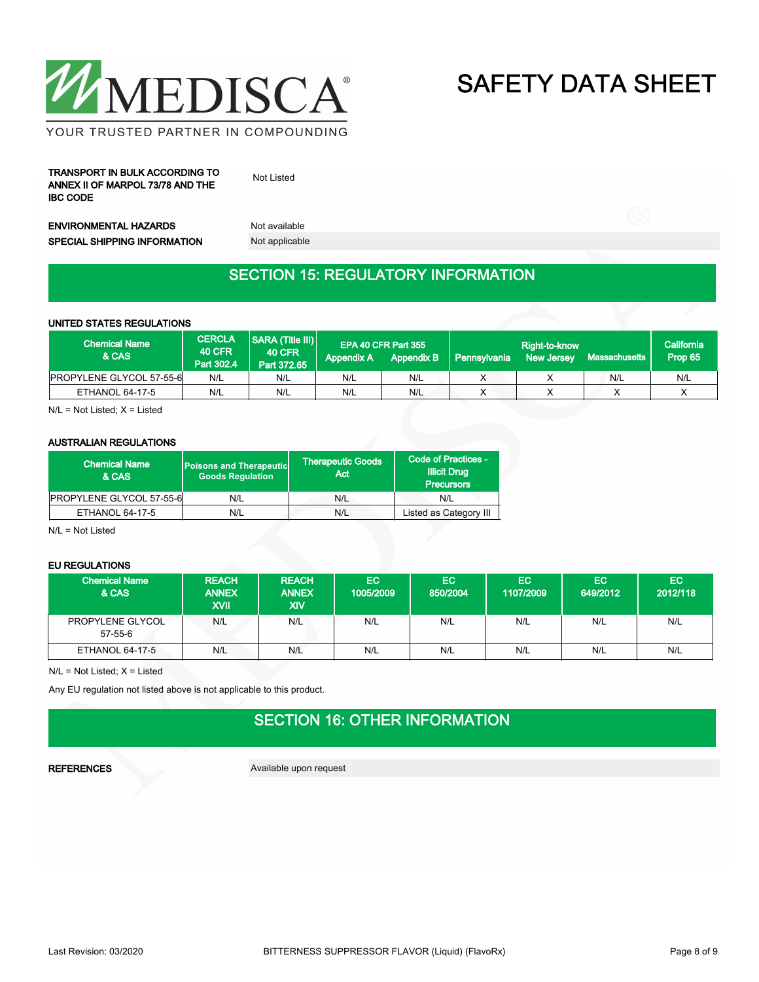

YOUR TRUSTED PARTNER IN COMPOUNDING

TRANSPORT IN BULK ACCORDING TO ANNEX II OF MARPOL 73/78 AND THE IBC CODE

Not Listed

ENVIRONMENTAL HAZARDS Not available SPECIAL SHIPPING INFORMATION Not applicable

### SECTION 15: REGULATORY INFORMATION

#### UNITED STATES REGULATIONS

| <b>Chemical Name</b><br>& CAS   | <b>CERCLA</b><br><b>40 CFR</b><br>Part 302.4 | <b>SARA (Title III)</b><br><b>40 CFR</b><br>Part 372.65 | Appendix A | EPA 40 CFR Part 355<br><b>Appendix B</b> | Pennsylvania | Right-to-know<br><b>New Jersey</b> | <b>Massachusetts</b> | California<br>Prop 65 |
|---------------------------------|----------------------------------------------|---------------------------------------------------------|------------|------------------------------------------|--------------|------------------------------------|----------------------|-----------------------|
| <b>PROPYLENE GLYCOL 57-55-6</b> | N/L                                          | N/L                                                     | N/L        | N/L                                      |              |                                    | N/L                  | N/L                   |
| ETHANOL 64-17-5                 | N/L                                          | N/L                                                     | N/L        | N/L                                      |              |                                    |                      |                       |

N/L = Not Listed; X = Listed

#### AUSTRALIAN REGULATIONS

| <b>Chemical Name</b><br>& CAS | <b>Poisons and Therapeutic</b><br><b>Goods Requlation</b> | <b>Therapeutic Goods</b><br>Act | Code of Practices -<br><b>Illicit Drug</b><br><b>Precursors</b> |
|-------------------------------|-----------------------------------------------------------|---------------------------------|-----------------------------------------------------------------|
| PROPYLENE GLYCOL 57-55-6      | N/L                                                       | N/L                             | N/L                                                             |
| ETHANOL 64-17-5               | N/L                                                       | N/L                             | Listed as Category III                                          |

N/L = Not Listed

#### EU REGULATIONS

| <b>Chemical Name</b><br>& CAS      | <b>REACH</b><br><b>ANNEX</b><br><b>IIVX</b> | <b>REACH</b><br><b>ANNEX</b><br>XIV | EC<br>1005/2009 | EC.<br>850/2004 | EC.<br>1107/2009 | EC.<br>649/2012 | EC.<br>2012/118 |
|------------------------------------|---------------------------------------------|-------------------------------------|-----------------|-----------------|------------------|-----------------|-----------------|
| <b>PROPYLENE GLYCOL</b><br>57-55-6 | N/L                                         | N/L                                 | N/L             | N/L             | N/L              | N/L             | N/L             |
| ETHANOL 64-17-5                    | N/L                                         | N/L                                 | N/L             | N/L             | N/L              | N/L             | N/L             |

N/L = Not Listed; X = Listed

Any EU regulation not listed above is not applicable to this product.

## SECTION 16: OTHER INFORMATION

REFERENCES Available upon request